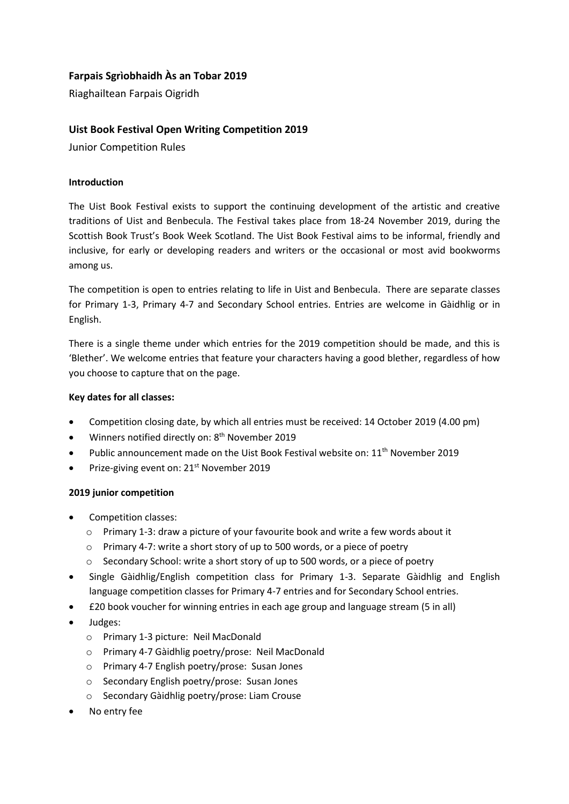# **Farpais Sgrìobhaidh Às an Tobar 2019**

Riaghailtean Farpais Oigridh

## **Uist Book Festival Open Writing Competition 2019**

Junior Competition Rules

#### **Introduction**

The Uist Book Festival exists to support the continuing development of the artistic and creative traditions of Uist and Benbecula. The Festival takes place from 18-24 November 2019, during the Scottish Book Trust's Book Week Scotland. The Uist Book Festival aims to be informal, friendly and inclusive, for early or developing readers and writers or the occasional or most avid bookworms among us.

The competition is open to entries relating to life in Uist and Benbecula. There are separate classes for Primary 1-3, Primary 4-7 and Secondary School entries. Entries are welcome in Gàidhlig or in English.

There is a single theme under which entries for the 2019 competition should be made, and this is 'Blether'. We welcome entries that feature your characters having a good blether, regardless of how you choose to capture that on the page.

#### **Key dates for all classes:**

- Competition closing date, by which all entries must be received: 14 October 2019 (4.00 pm)
- Winners notified directly on: 8<sup>th</sup> November 2019
- Public announcement made on the Uist Book Festival website on: 11<sup>th</sup> November 2019
- Prize-giving event on: 21<sup>st</sup> November 2019

### **2019 junior competition**

- Competition classes:
	- $\circ$  Primary 1-3: draw a picture of your favourite book and write a few words about it
	- o Primary 4-7: write a short story of up to 500 words, or a piece of poetry
	- o Secondary School: write a short story of up to 500 words, or a piece of poetry
- Single Gàidhlig/English competition class for Primary 1-3. Separate Gàidhlig and English language competition classes for Primary 4-7 entries and for Secondary School entries.
- £20 book voucher for winning entries in each age group and language stream (5 in all)
- Judges:
	- o Primary 1-3 picture: Neil MacDonald
	- o Primary 4-7 Gàidhlig poetry/prose: Neil MacDonald
	- o Primary 4-7 English poetry/prose: Susan Jones
	- o Secondary English poetry/prose: Susan Jones
	- o Secondary Gàidhlig poetry/prose: Liam Crouse
- No entry fee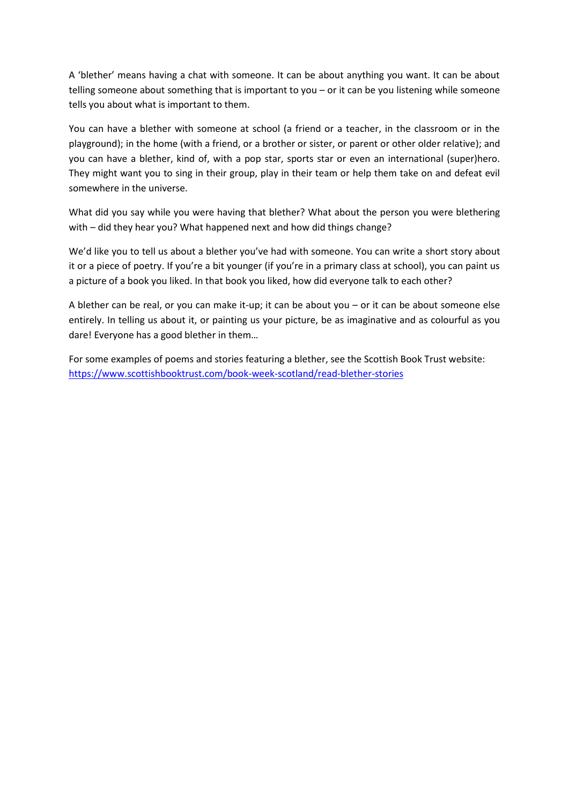A 'blether' means having a chat with someone. It can be about anything you want. It can be about telling someone about something that is important to you – or it can be you listening while someone tells you about what is important to them.

You can have a blether with someone at school (a friend or a teacher, in the classroom or in the playground); in the home (with a friend, or a brother or sister, or parent or other older relative); and you can have a blether, kind of, with a pop star, sports star or even an international (super)hero. They might want you to sing in their group, play in their team or help them take on and defeat evil somewhere in the universe.

What did you say while you were having that blether? What about the person you were blethering with – did they hear you? What happened next and how did things change?

We'd like you to tell us about a blether you've had with someone. You can write a short story about it or a piece of poetry. If you're a bit younger (if you're in a primary class at school), you can paint us a picture of a book you liked. In that book you liked, how did everyone talk to each other?

A blether can be real, or you can make it-up; it can be about you – or it can be about someone else entirely. In telling us about it, or painting us your picture, be as imaginative and as colourful as you dare! Everyone has a good blether in them…

For some examples of poems and stories featuring a blether, see the Scottish Book Trust website: <https://www.scottishbooktrust.com/book-week-scotland/read-blether-stories>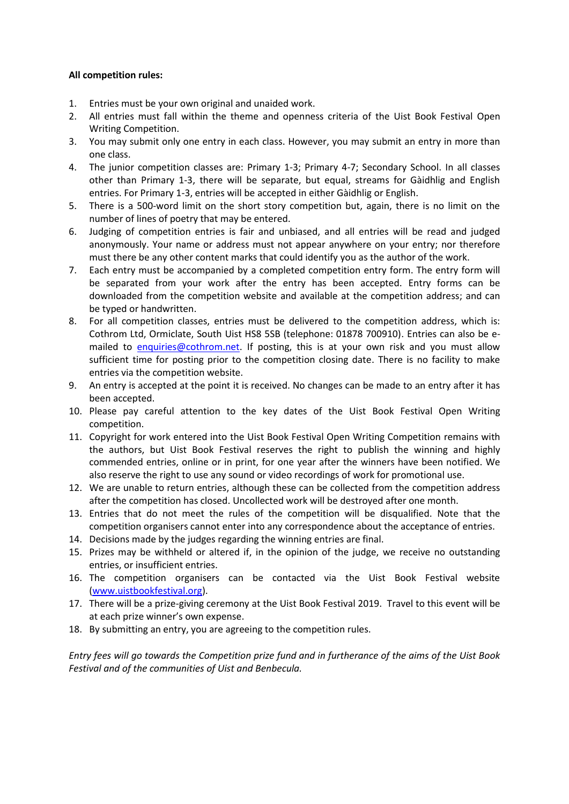#### **All competition rules:**

- 1. Entries must be your own original and unaided work.
- 2. All entries must fall within the theme and openness criteria of the Uist Book Festival Open Writing Competition.
- 3. You may submit only one entry in each class. However, you may submit an entry in more than one class.
- 4. The junior competition classes are: Primary 1-3; Primary 4-7; Secondary School. In all classes other than Primary 1-3, there will be separate, but equal, streams for Gàidhlig and English entries. For Primary 1-3, entries will be accepted in either Gàidhlig or English.
- 5. There is a 500-word limit on the short story competition but, again, there is no limit on the number of lines of poetry that may be entered.
- 6. Judging of competition entries is fair and unbiased, and all entries will be read and judged anonymously. Your name or address must not appear anywhere on your entry; nor therefore must there be any other content marks that could identify you as the author of the work.
- 7. Each entry must be accompanied by a completed competition entry form. The entry form will be separated from your work after the entry has been accepted. Entry forms can be downloaded from the competition website and available at the competition address; and can be typed or handwritten.
- 8. For all competition classes, entries must be delivered to the competition address, which is: Cothrom Ltd, Ormiclate, South Uist HS8 5SB (telephone: 01878 700910). Entries can also be emailed to [enquiries@cothrom.net.](mailto:enquiries@cothrom.net) If posting, this is at your own risk and you must allow sufficient time for posting prior to the competition closing date. There is no facility to make entries via the competition website.
- 9. An entry is accepted at the point it is received. No changes can be made to an entry after it has been accepted.
- 10. Please pay careful attention to the key dates of the Uist Book Festival Open Writing competition.
- 11. Copyright for work entered into the Uist Book Festival Open Writing Competition remains with the authors, but Uist Book Festival reserves the right to publish the winning and highly commended entries, online or in print, for one year after the winners have been notified. We also reserve the right to use any sound or video recordings of work for promotional use.
- 12. We are unable to return entries, although these can be collected from the competition address after the competition has closed. Uncollected work will be destroyed after one month.
- 13. Entries that do not meet the rules of the competition will be disqualified. Note that the competition organisers cannot enter into any correspondence about the acceptance of entries.
- 14. Decisions made by the judges regarding the winning entries are final.
- 15. Prizes may be withheld or altered if, in the opinion of the judge, we receive no outstanding entries, or insufficient entries.
- 16. The competition organisers can be contacted via the Uist Book Festival website [\(www.uistbookfestival.org\)](http://www.uistbookfestival.org/).
- 17. There will be a prize-giving ceremony at the Uist Book Festival 2019. Travel to this event will be at each prize winner's own expense.
- 18. By submitting an entry, you are agreeing to the competition rules.

*Entry fees will go towards the Competition prize fund and in furtherance of the aims of the Uist Book Festival and of the communities of Uist and Benbecula.*